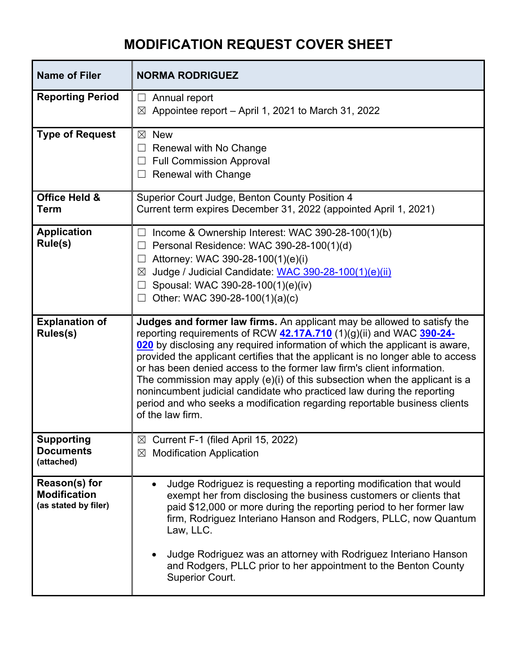## **MODIFICATION REQUEST COVER SHEET**

| <b>NORMA RODRIGUEZ</b>                                                                                                                                                                                                                                                                                                                                                                                                                                                                                                                                                                                                                              |
|-----------------------------------------------------------------------------------------------------------------------------------------------------------------------------------------------------------------------------------------------------------------------------------------------------------------------------------------------------------------------------------------------------------------------------------------------------------------------------------------------------------------------------------------------------------------------------------------------------------------------------------------------------|
| Annual report<br>$\Box$<br>Appointee report - April 1, 2021 to March 31, 2022<br>⊠                                                                                                                                                                                                                                                                                                                                                                                                                                                                                                                                                                  |
| <b>New</b><br>⊠<br>Renewal with No Change<br><b>Full Commission Approval</b><br><b>Renewal with Change</b><br>$\blacksquare$                                                                                                                                                                                                                                                                                                                                                                                                                                                                                                                        |
| Superior Court Judge, Benton County Position 4<br>Current term expires December 31, 2022 (appointed April 1, 2021)                                                                                                                                                                                                                                                                                                                                                                                                                                                                                                                                  |
| Income & Ownership Interest: WAC 390-28-100(1)(b)<br>Personal Residence: WAC 390-28-100(1)(d)<br>$\Box$<br>Attorney: WAC 390-28-100(1)(e)(i)<br>Judge / Judicial Candidate: WAC 390-28-100(1)(e)(ii)<br>⊠<br>Spousal: WAC 390-28-100(1)(e)(iv)<br>Other: WAC 390-28-100(1)(a)(c)                                                                                                                                                                                                                                                                                                                                                                    |
| Judges and former law firms. An applicant may be allowed to satisfy the<br>reporting requirements of RCW 42.17A.710 (1)(g)(ii) and WAC 390-24-<br>020 by disclosing any required information of which the applicant is aware,<br>provided the applicant certifies that the applicant is no longer able to access<br>or has been denied access to the former law firm's client information.<br>The commission may apply (e)(i) of this subsection when the applicant is a<br>nonincumbent judicial candidate who practiced law during the reporting<br>period and who seeks a modification regarding reportable business clients<br>of the law firm. |
| $\boxtimes$ Current F-1 (filed April 15, 2022)<br><b>Modification Application</b><br>$\boxtimes$                                                                                                                                                                                                                                                                                                                                                                                                                                                                                                                                                    |
| Judge Rodriguez is requesting a reporting modification that would<br>$\bullet$<br>exempt her from disclosing the business customers or clients that<br>paid \$12,000 or more during the reporting period to her former law<br>firm, Rodriguez Interiano Hanson and Rodgers, PLLC, now Quantum<br>Law, LLC.<br>Judge Rodriguez was an attorney with Rodriguez Interiano Hanson<br>and Rodgers, PLLC prior to her appointment to the Benton County<br><b>Superior Court.</b>                                                                                                                                                                          |
|                                                                                                                                                                                                                                                                                                                                                                                                                                                                                                                                                                                                                                                     |